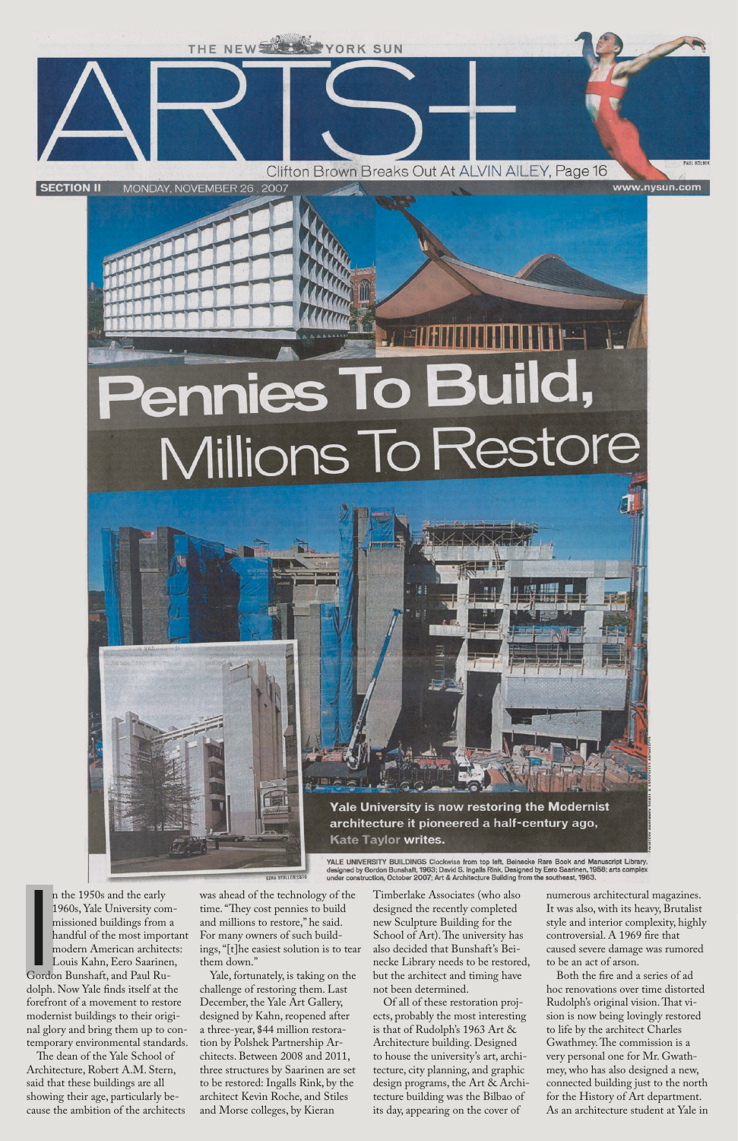



YALE UNIVERSITY BUILDINGS Clockwise from top left, Beinecke Rare Book and Manuscript Library, designed by Gordon Bunshaft, 1963; David S. Ingalls Rink, Designed by Eero Saarinen, 1958; arts complex under construction, October 2007; Art & Architecture Building from the southeast, 1963.

Sord n the 1950s and the early 1960s, Yale University commissioned buildings from a handful of the most important modern American architects: Louis Kahn, Eero Saarinen, Gordon Bunshaft, and Paul Rudolph. Now Yale finds itself at the forefront of a movement to restore modernist buildings to their original glory and bring them up to contemporary environmental standards.

The dean of the Yale School of Architecture, Robert A.M. Stern, said that these buildings are all showing their age, particularly because the ambition of the architects was ahead of the technology of the time. "They cost pennies to build and millions to restore," he said. For many owners of such buildings, "[t]he easiest solution is to tear them down."

Yale, fortunately, is taking on the challenge of restoring them. Last December, the Yale Art Gallery, designed by Kahn, reopened after a three-year, \$44 million restoration by Polshek Partnership Architects. Between 2008 and 2011, three structures by Saarinen are set to be restored: Ingalls Rink, by the architect Kevin Roche, and Stiles and Morse colleges, by Kieran

Timberlake Associates (who also designed the recently completed new Sculpture Building for the School of Art). The university has also decided that Bunshaft's Beinecke Library needs to be restored, but the architect and timing have not been determined.

Of all of these restoration projects, probably the most interesting is that of Rudolph's 1963 Art & Architecture building. Designed to house the university's art, architecture, city planning, and graphic design programs, the Art & Architecture building was the Bilbao of its day, appearing on the cover of

numerous architectural magazines. It was also, with its heavy, Brutalist style and interior complexity, highly controversial. A 1969 fire that caused severe damage was rumored to be an act of arson.

Both the fire and a series of ad hoc renovations over time distorted Rudolph's original vision. That vision is now being lovingly restored to life by the architect Charles Gwathmey. The commission is a very personal one for Mr. Gwathmey, who has also designed a new, connected building just to the north for the History of Art department. As an architecture student at Yale in